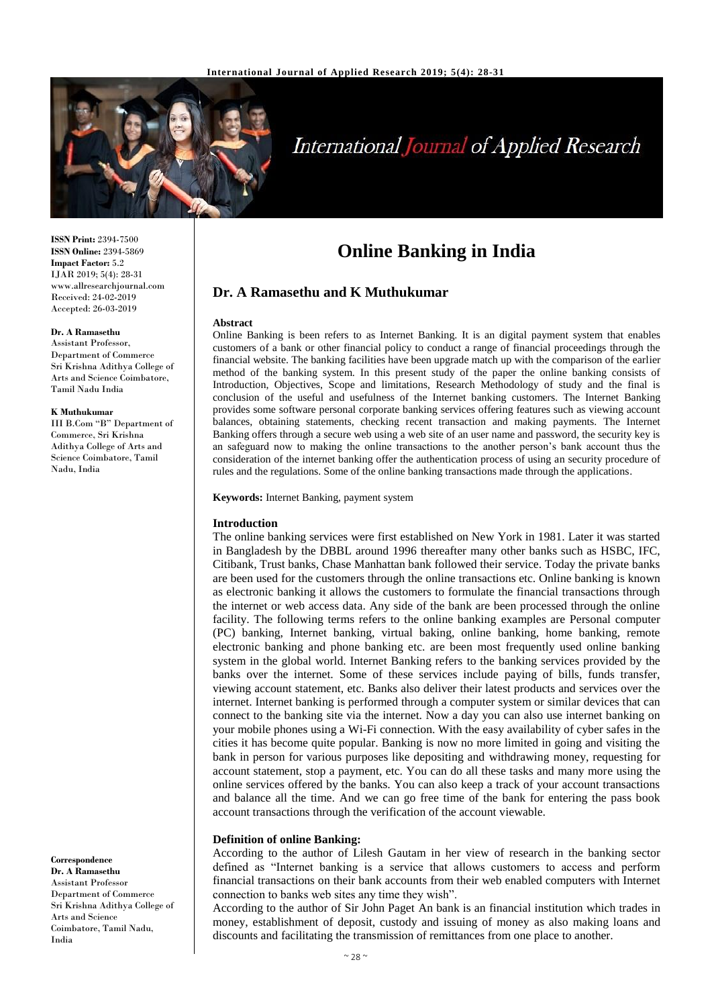

# **International Journal of Applied Research**

**ISSN Print:** 2394-7500 **ISSN Online:** 2394-5869 **Impact Factor:** 5.2 IJAR 2019; 5(4): 28-31 www.allresearchjournal.com Received: 24-02-2019 Accepted: 26-03-2019

#### **Dr. A Ramasethu**

Assistant Professor, Department of Commerce Sri Krishna Adithya College of Arts and Science Coimbatore, Tamil Nadu India

#### **K Muthukumar**

III B.Com "B" Department of Commerce, Sri Krishna Adithya College of Arts and Science Coimbatore, Tamil Nadu, India

**Correspondence**

**Dr. A Ramasethu** Assistant Professor Department of Commerce Sri Krishna Adithya College of Arts and Science Coimbatore, Tamil Nadu, India

## **Online Banking in India**

#### **Dr. A Ramasethu and K Muthukumar**

#### **Abstract**

Online Banking is been refers to as Internet Banking. It is an digital payment system that enables customers of a bank or other financial policy to conduct a range of financial proceedings through the financial website. The banking facilities have been upgrade match up with the comparison of the earlier method of the banking system. In this present study of the paper the online banking consists of Introduction, Objectives, Scope and limitations, Research Methodology of study and the final is conclusion of the useful and usefulness of the Internet banking customers. The Internet Banking provides some software personal corporate banking services offering features such as viewing account balances, obtaining statements, checking recent transaction and making payments. The Internet Banking offers through a secure web using a web site of an user name and password, the security key is an safeguard now to making the online transactions to the another person's bank account thus the consideration of the internet banking offer the authentication process of using an security procedure of rules and the regulations. Some of the online banking transactions made through the applications.

**Keywords:** Internet Banking, payment system

#### **Introduction**

The online banking services were first established on New York in 1981. Later it was started in Bangladesh by the DBBL around 1996 thereafter many other banks such as HSBC, IFC, Citibank, Trust banks, Chase Manhattan bank followed their service. Today the private banks are been used for the customers through the online transactions etc. Online banking is known as electronic banking it allows the customers to formulate the financial transactions through the internet or web access data. Any side of the bank are been processed through the online facility. The following terms refers to the online banking examples are Personal computer (PC) banking, Internet banking, virtual baking, online banking, home banking, remote electronic banking and phone banking etc. are been most frequently used online banking system in the global world. Internet Banking refers to the banking services provided by the banks over the internet. Some of these services include paying of bills, funds transfer, viewing account statement, etc. Banks also deliver their latest products and services over the internet. Internet banking is performed through a computer system or similar devices that can connect to the banking site via the internet. Now a day you can also use internet banking on your mobile phones using a Wi-Fi connection. With the easy availability of cyber safes in the cities it has become quite popular. Banking is now no more limited in going and visiting the bank in person for various purposes like depositing and withdrawing money, requesting for account statement, stop a payment, etc. You can do all these tasks and many more using the online services offered by the banks. You can also keep a track of your account transactions and balance all the time. And we can go free time of the bank for entering the pass book account transactions through the verification of the account viewable.

#### **Definition of online Banking:**

According to the author of Lilesh Gautam in her view of research in the banking sector defined as "Internet banking is a service that allows customers to access and perform financial transactions on their bank accounts from their web enabled computers with Internet connection to banks web sites any time they wish".

According to the author of Sir John Paget An bank is an financial institution which trades in money, establishment of deposit, custody and issuing of money as also making loans and discounts and facilitating the transmission of remittances from one place to another.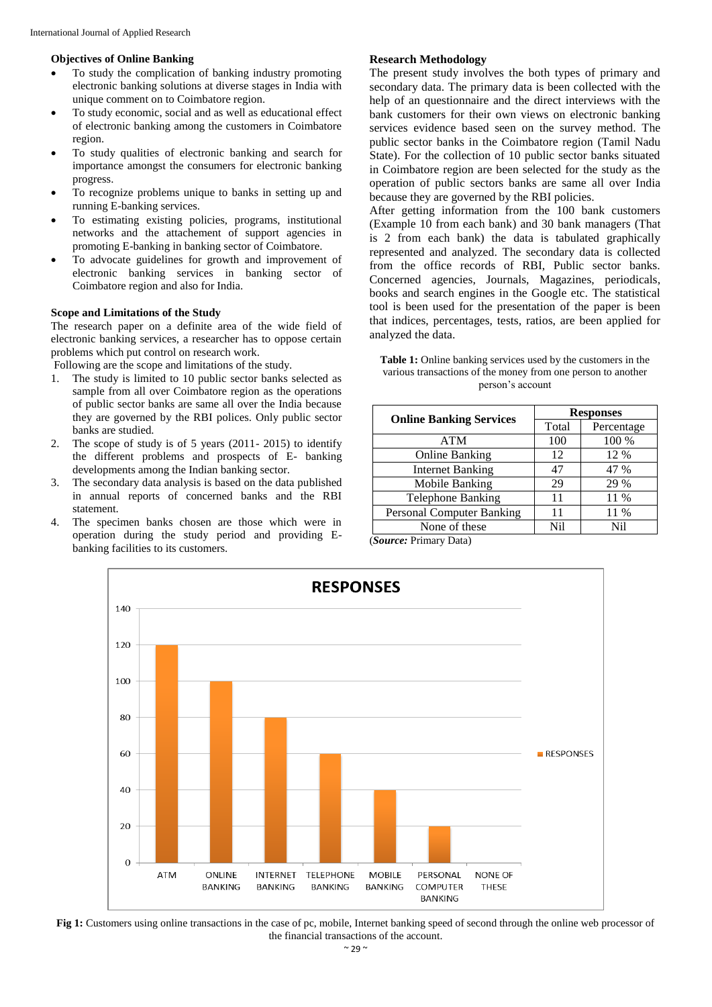#### **Objectives of Online Banking**

- To study the complication of banking industry promoting electronic banking solutions at diverse stages in India with unique comment on to Coimbatore region.
- To study economic, social and as well as educational effect of electronic banking among the customers in Coimbatore region.
- To study qualities of electronic banking and search for importance amongst the consumers for electronic banking progress.
- To recognize problems unique to banks in setting up and running E-banking services.
- To estimating existing policies, programs, institutional networks and the attachement of support agencies in promoting E-banking in banking sector of Coimbatore.
- To advocate guidelines for growth and improvement of electronic banking services in banking sector of Coimbatore region and also for India.

#### **Scope and Limitations of the Study**

The research paper on a definite area of the wide field of electronic banking services, a researcher has to oppose certain problems which put control on research work.

Following are the scope and limitations of the study.

- 1. The study is limited to 10 public sector banks selected as sample from all over Coimbatore region as the operations of public sector banks are same all over the India because they are governed by the RBI polices. Only public sector banks are studied.
- 2. The scope of study is of 5 years (2011- 2015) to identify the different problems and prospects of E- banking developments among the Indian banking sector.
- 3. The secondary data analysis is based on the data published in annual reports of concerned banks and the RBI statement.
- 4. The specimen banks chosen are those which were in operation during the study period and providing Ebanking facilities to its customers.

#### **Research Methodology**

The present study involves the both types of primary and secondary data. The primary data is been collected with the help of an questionnaire and the direct interviews with the bank customers for their own views on electronic banking services evidence based seen on the survey method. The public sector banks in the Coimbatore region (Tamil Nadu State). For the collection of 10 public sector banks situated in Coimbatore region are been selected for the study as the operation of public sectors banks are same all over India because they are governed by the RBI policies.

After getting information from the 100 bank customers (Example 10 from each bank) and 30 bank managers (That is 2 from each bank) the data is tabulated graphically represented and analyzed. The secondary data is collected from the office records of RBI, Public sector banks. Concerned agencies, Journals, Magazines, periodicals, books and search engines in the Google etc. The statistical tool is been used for the presentation of the paper is been that indices, percentages, tests, ratios, are been applied for analyzed the data.

| <b>Table 1:</b> Online banking services used by the customers in the |
|----------------------------------------------------------------------|
| various transactions of the money from one person to another         |
| person's account                                                     |

| <b>Online Banking Services</b>   | <b>Responses</b> |            |  |
|----------------------------------|------------------|------------|--|
|                                  | Total            | Percentage |  |
| <b>ATM</b>                       | 100              | 100 %      |  |
| <b>Online Banking</b>            | 12               | 12 %       |  |
| <b>Internet Banking</b>          | 47               | 47 %       |  |
| Mobile Banking                   | 29               | 29 %       |  |
| <b>Telephone Banking</b>         | 11               | 11 %       |  |
| <b>Personal Computer Banking</b> | 11               | 11 %       |  |
| None of these                    | Ni1              | Ni1        |  |

(*Source:* Primary Data)



**Fig 1:** Customers using online transactions in the case of pc, mobile, Internet banking speed of second through the online web processor of the financial transactions of the account.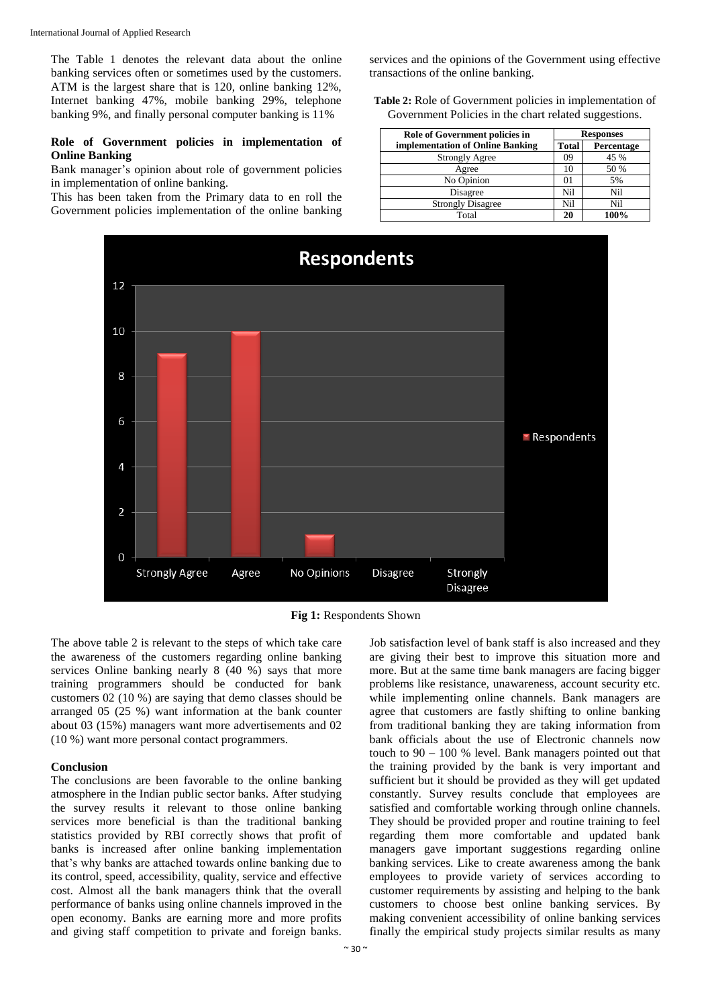The Table 1 denotes the relevant data about the online banking services often or sometimes used by the customers. ATM is the largest share that is 120, online banking 12%, Internet banking 47%, mobile banking 29%, telephone banking 9%, and finally personal computer banking is 11%

#### **Role of Government policies in implementation of Online Banking**

Bank manager's opinion about role of government policies in implementation of online banking.

This has been taken from the Primary data to en roll the Government policies implementation of the online banking

services and the opinions of the Government using effective transactions of the online banking.

**Table 2:** Role of Government policies in implementation of Government Policies in the chart related suggestions.

| Role of Government policies in   | <b>Responses</b> |            |
|----------------------------------|------------------|------------|
| implementation of Online Banking | <b>Total</b>     | Percentage |
| <b>Strongly Agree</b>            | 09               | 45 %       |
| Agree                            | 10               | 50 %       |
| No Opinion                       | $\Omega$         | 5%         |
| Disagree                         | Nil              | Ni1        |
| <b>Strongly Disagree</b>         | Nil              | Nil        |
| Total                            | 20               | 100%       |





The above table 2 is relevant to the steps of which take care the awareness of the customers regarding online banking services Online banking nearly 8 (40 %) says that more training programmers should be conducted for bank customers 02 (10 %) are saying that demo classes should be arranged 05 (25 %) want information at the bank counter about 03 (15%) managers want more advertisements and 02 (10 %) want more personal contact programmers.

#### **Conclusion**

The conclusions are been favorable to the online banking atmosphere in the Indian public sector banks. After studying the survey results it relevant to those online banking services more beneficial is than the traditional banking statistics provided by RBI correctly shows that profit of banks is increased after online banking implementation that's why banks are attached towards online banking due to its control, speed, accessibility, quality, service and effective cost. Almost all the bank managers think that the overall performance of banks using online channels improved in the open economy. Banks are earning more and more profits and giving staff competition to private and foreign banks.

Job satisfaction level of bank staff is also increased and they are giving their best to improve this situation more and more. But at the same time bank managers are facing bigger problems like resistance, unawareness, account security etc. while implementing online channels. Bank managers are agree that customers are fastly shifting to online banking from traditional banking they are taking information from bank officials about the use of Electronic channels now touch to  $90 - 100$  % level. Bank managers pointed out that the training provided by the bank is very important and sufficient but it should be provided as they will get updated constantly. Survey results conclude that employees are satisfied and comfortable working through online channels. They should be provided proper and routine training to feel regarding them more comfortable and updated bank managers gave important suggestions regarding online banking services. Like to create awareness among the bank employees to provide variety of services according to customer requirements by assisting and helping to the bank customers to choose best online banking services. By making convenient accessibility of online banking services finally the empirical study projects similar results as many